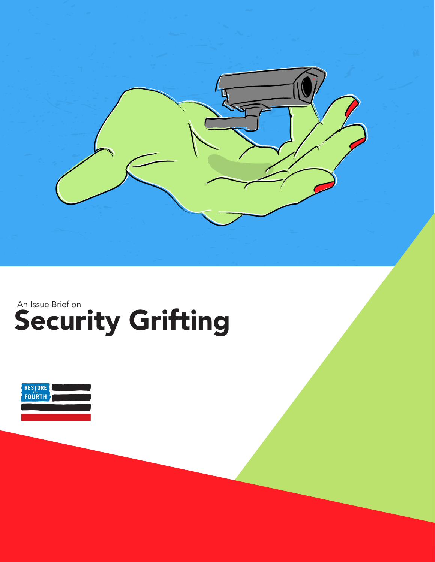

## Security Grifting An Issue Brief on

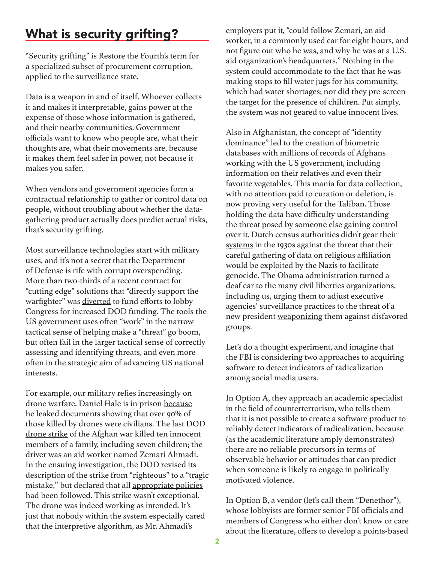## What is security grifting?

"Security grifting" is Restore the Fourth's term for a specialized subset of procurement corruption, applied to the surveillance state.

Data is a weapon in and of itself. Whoever collects it and makes it interpretable, gains power at the expense of those whose information is gathered, and their nearby communities. Government officials want to know who people are, what their thoughts are, what their movements are, because it makes them feel safer in power, not because it makes you safer.

When vendors and government agencies form a contractual relationship to gather or control data on people, without troubling about whether the datagathering product actually does predict actual risks, that's security grifting.

Most surveillance technologies start with military uses, and it's not a secret that the Department of Defense is rife with corrupt overspending. More than two-thirds of a recent contract for "cutting edge" solutions that "directly support the warfighter" was [diverted](https://theintercept.com/2021/09/15/pentagon-funding-think-tanks/) to fund efforts to lobby Congress for increased DOD funding. The tools the US government uses often "work" in the narrow tactical sense of helping make a "threat" go boom, but often fail in the larger tactical sense of correctly assessing and identifying threats, and even more often in the strategic aim of advancing US national interests.

For example, our military relies increasingly on drone warfare. Daniel Hale is in prison [because](http://standwithdanielhale.org) he leaked documents showing that over 90% of those killed by drones were civilians. The last DOD [drone strike](https://www.nytimes.com/2021/09/10/world/asia/us-air-strike-drone-kabul-afghanistan-isis.html) of the Afghan war killed ten innocent members of a family, including seven children; the driver was an aid worker named Zemari Ahmadi. In the ensuing investigation, the DOD revised its description of the strike from "righteous" to a "tragic mistake," but declared that all [appropriate policies](https://caitlinjohnstone.substack.com/p/mass-media-hasten-to-help-pentagon) had been followed. This strike wasn't exceptional. The drone was indeed working as intended. It's just that nobody within the system especially cared that the interpretive algorithm, as Mr. Ahmadi's

employers put it, "could follow Zemari, an aid worker, in a commonly used car for eight hours, and not figure out who he was, and why he was at a U.S. aid organization's headquarters." Nothing in the system could accommodate to the fact that he was making stops to fill water jugs for his community, which had water shortages; nor did they pre-screen the target for the presence of children. Put simply, the system was not geared to value innocent lives.

Also in Afghanistan, the concept of "identity dominance" led to the creation of biometric databases with millions of records of Afghans working with the US government, including information on their relatives and even their favorite vegetables. This mania for data collection, with no attention paid to curation or deletion, is now proving very useful for the Taliban. Those holding the data have difficulty understanding the threat posed by someone else gaining control over it. Dutch census authorities didn't gear their [systems](https://www.abc.net.au/radionational/programs/rearvision/the-dark-side-of-census-collections/7860908) in the 1930s against the threat that their careful gathering of data on religious affiliation would be exploited by the Nazis to facilitate genocide. The Obama [administration](https://s3.amazonaws.com/demandprogress/letters/2016-11-21_Obama_Surveillance_Asks.pdf) turned a deaf ear to the many civil liberties organizations, including us, urging them to adjust executive agencies' surveillance practices to the threat of a new president [weaponizing](https://www.vox.com/recode/2020/2/7/21127911/ice-border-cellphone-data-tracking-department-homeland-security-immigration) them against disfavored groups.

Let's do a thought experiment, and imagine that the FBI is considering two approaches to acquiring software to detect indicators of radicalization among social media users.

In Option A, they approach an academic specialist in the field of counterterrorism, who tells them that it is not possible to create a software product to reliably detect indicators of radicalization, because (as the academic literature amply demonstrates) there are no reliable precursors in terms of observable behavior or attitudes that can predict when someone is likely to engage in politically motivated violence.

In Option B, a vendor (let's call them "Denethor"), whose lobbyists are former senior FBI officials and members of Congress who either don't know or care about the literature, offers to develop a points-based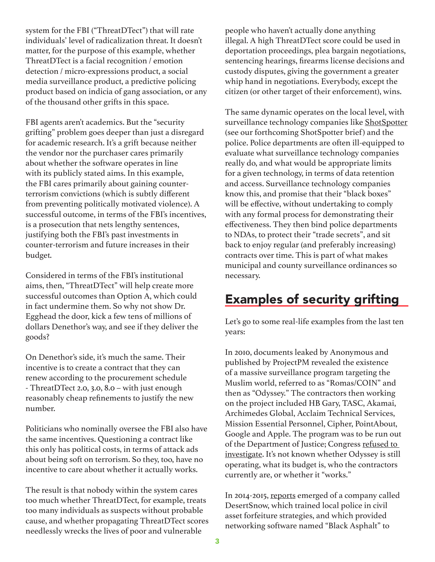system for the FBI ("ThreatDTect") that will rate individuals' level of radicalization threat. It doesn't matter, for the purpose of this example, whether ThreatDTect is a facial recognition / emotion detection / micro-expressions product, a social media surveillance product, a predictive policing product based on indicia of gang association, or any of the thousand other grifts in this space.

FBI agents aren't academics. But the "security grifting" problem goes deeper than just a disregard for academic research. It's a grift because neither the vendor nor the purchaser cares primarily about whether the software operates in line with its publicly stated aims. In this example, the FBI cares primarily about gaining counterterrorism convictions (which is subtly different from preventing politically motivated violence). A successful outcome, in terms of the FBI's incentives, is a prosecution that nets lengthy sentences, justifying both the FBI's past investments in counter-terrorism and future increases in their budget.

Considered in terms of the FBI's institutional aims, then, "ThreatDTect" will help create more successful outcomes than Option A, which could in fact undermine them. So why not show Dr. Egghead the door, kick a few tens of millions of dollars Denethor's way, and see if they deliver the goods?

On Denethor's side, it's much the same. Their incentive is to create a contract that they can renew according to the procurement schedule - ThreatDTect 2.0, 3.0, 8.0 – with just enough reasonably cheap refinements to justify the new number.

Politicians who nominally oversee the FBI also have the same incentives. Questioning a contract like this only has political costs, in terms of attack ads about being soft on terrorism. So they, too, have no incentive to care about whether it actually works.

The result is that nobody within the system cares too much whether ThreatDTect, for example, treats too many individuals as suspects without probable cause, and whether propagating ThreatDTect scores needlessly wrecks the lives of poor and vulnerable

people who haven't actually done anything illegal. A high ThreatDTect score could be used in deportation proceedings, plea bargain negotiations, sentencing hearings, firearms license decisions and custody disputes, giving the government a greater whip hand in negotiations. Everybody, except the citizen (or other target of their enforcement), wins.

The same dynamic operates on the local level, with surveillance technology companies like [ShotSpotter](https://papers.ssrn.com/sol3/papers.cfm?abstract_id=2924620) (see our forthcoming ShotSpotter brief) and the police. Police departments are often ill-equipped to evaluate what surveillance technology companies really do, and what would be appropriate limits for a given technology, in terms of data retention and access. Surveillance technology companies know this, and promise that their "black boxes" will be effective, without undertaking to comply with any formal process for demonstrating their effectiveness. They then bind police departments to NDAs, to protect their "trade secrets", and sit back to enjoy regular (and preferably increasing) contracts over time. This is part of what makes municipal and county surveillance ordinances so necessary.

## Examples of security grifting

Let's go to some real-life examples from the last ten years:

In 2010, documents leaked by Anonymous and published by ProjectPM revealed the existence of a massive surveillance program targeting the Muslim world, referred to as "Romas/COIN" and then as "Odyssey." The contractors then working on the project included HB Gary, TASC, Akamai, Archimedes Global, Acclaim Technical Services, Mission Essential Personnel, Cipher, PointAbout, Google and Apple. The program was to be run out of the Department of Justice; Congress [refused to](https://www.csoonline.com/article/2229565/project-pm-leaks-dirt-on-romas-coin-classified-intelligence-mass-surveillance.html)  [investigate](https://www.csoonline.com/article/2229565/project-pm-leaks-dirt-on-romas-coin-classified-intelligence-mass-surveillance.html). It's not known whether Odyssey is still operating, what its budget is, who the contractors currently are, or whether it "works."

In 2014-2015, [reports](https://www.freedomworks.org/content/desert-snow-company-teaches-government-how-take-innocent-peoples-property) emerged of a company called DesertSnow, which trained local police in civil asset forfeiture strategies, and which provided networking software named "Black Asphalt" to